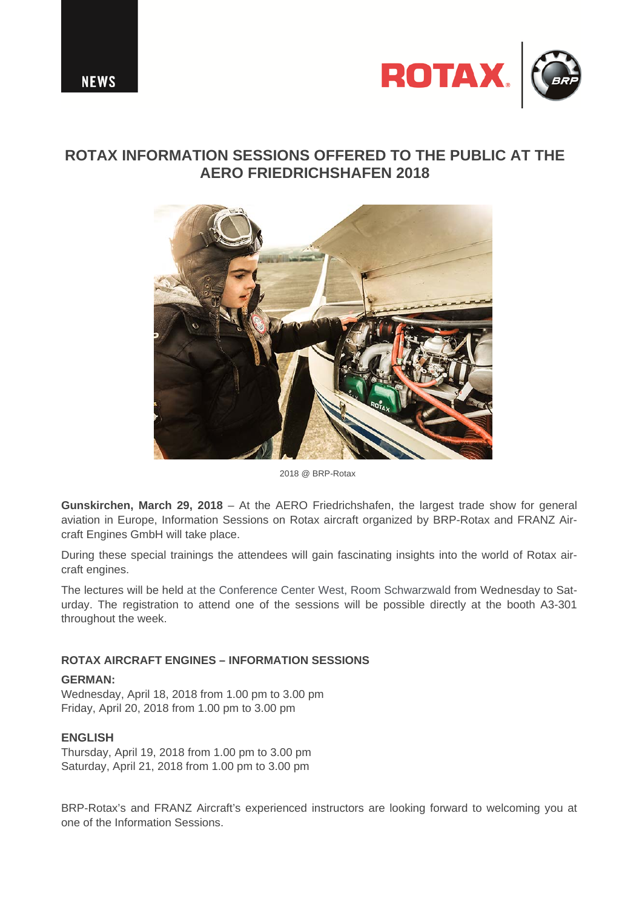

# **ROTAX INFORMATION SESSIONS OFFERED TO THE PUBLIC AT THE AERO FRIEDRICHSHAFEN 2018**



2018 @ BRP-Rotax

**Gunskirchen, March 29, 2018** – At the AERO Friedrichshafen, the largest trade show for general aviation in Europe, Information Sessions on Rotax aircraft organized by BRP-Rotax and FRANZ Aircraft Engines GmbH will take place.

During these special trainings the attendees will gain fascinating insights into the world of Rotax aircraft engines.

The lectures will be held at the Conference Center West, Room Schwarzwald from Wednesday to Saturday. The registration to attend one of the sessions will be possible directly at the booth A3-301 throughout the week.

# **ROTAX AIRCRAFT ENGINES – INFORMATION SESSIONS**

### **GERMAN:**

Wednesday, April 18, 2018 from 1.00 pm to 3.00 pm Friday, April 20, 2018 from 1.00 pm to 3.00 pm

# **ENGLISH**

Thursday, April 19, 2018 from 1.00 pm to 3.00 pm Saturday, April 21, 2018 from 1.00 pm to 3.00 pm

BRP-Rotax's and FRANZ Aircraft's experienced instructors are looking forward to welcoming you at one of the Information Sessions.